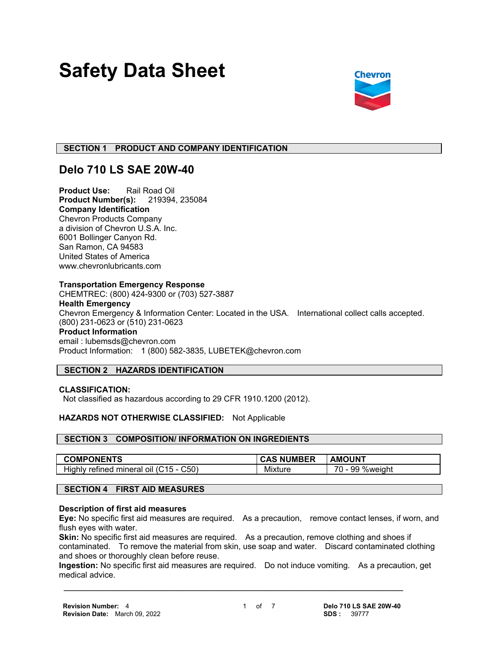# **Safety Data Sheet**



## **SECTION 1 PRODUCT AND COMPANY IDENTIFICATION**

## **Delo 710 LS SAE 20W-40**

**Product Use:** Rail Road Oil **Product Number(s):** 219394, 235084 **Company Identification** Chevron Products Company a division of Chevron U.S.A. Inc. 6001 Bollinger Canyon Rd. San Ramon, CA 94583 United States of America www.chevronlubricants.com

#### **Transportation Emergency Response**

CHEMTREC: (800) 424-9300 or (703) 527-3887 **Health Emergency** Chevron Emergency & Information Center: Located in the USA. International collect calls accepted. (800) 231-0623 or (510) 231-0623 **Product Information** email : lubemsds@chevron.com Product Information: 1 (800) 582-3835, LUBETEK@chevron.com

## **SECTION 2 HAZARDS IDENTIFICATION**

## **CLASSIFICATION:**

Not classified as hazardous according to 29 CFR 1910.1200 (2012).

## **HAZARDS NOT OTHERWISE CLASSIFIED:** Not Applicable

## **SECTION 3 COMPOSITION/ INFORMATION ON INGREDIENTS**

| <b>COMPONENTS</b>                                                  | <b>NUMBER</b> | <b>AMOUNT</b>                                            |
|--------------------------------------------------------------------|---------------|----------------------------------------------------------|
| $\mathcal{L}50'$<br>refined mineral<br>$15 -$<br>Highly<br>-011 (C | Mixture       | $\overline{\phantom{a}}$<br>%weight<br>99<br><u>U - </u> |

## **SECTION 4 FIRST AID MEASURES**

#### **Description of first aid measures**

**Eye:** No specific first aid measures are required. As a precaution, remove contact lenses, if worn, and flush eyes with water.

**Skin:** No specific first aid measures are required. As a precaution, remove clothing and shoes if contaminated. To remove the material from skin, use soap and water. Discard contaminated clothing and shoes or thoroughly clean before reuse.

**Ingestion:** No specific first aid measures are required. Do not induce vomiting. As a precaution, get medical advice.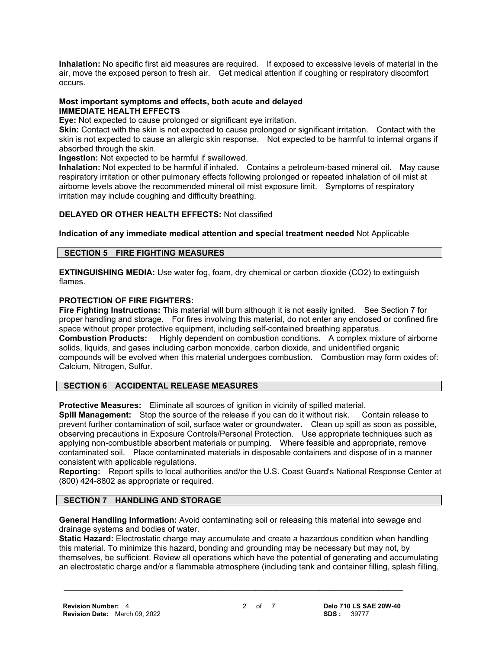**Inhalation:** No specific first aid measures are required. If exposed to excessive levels of material in the air, move the exposed person to fresh air. Get medical attention if coughing or respiratory discomfort occurs.

## **Most important symptoms and effects, both acute and delayed IMMEDIATE HEALTH EFFECTS**

**Eye:** Not expected to cause prolonged or significant eye irritation.

**Skin:** Contact with the skin is not expected to cause prolonged or significant irritation. Contact with the skin is not expected to cause an allergic skin response. Not expected to be harmful to internal organs if absorbed through the skin.

**Ingestion:** Not expected to be harmful if swallowed.

**Inhalation:** Not expected to be harmful if inhaled. Contains a petroleum-based mineral oil. May cause respiratory irritation or other pulmonary effects following prolonged or repeated inhalation of oil mist at airborne levels above the recommended mineral oil mist exposure limit. Symptoms of respiratory irritation may include coughing and difficulty breathing.

## **DELAYED OR OTHER HEALTH EFFECTS:** Not classified

**Indication of any immediate medical attention and special treatment needed** Not Applicable

## **SECTION 5 FIRE FIGHTING MEASURES**

**EXTINGUISHING MEDIA:** Use water fog, foam, dry chemical or carbon dioxide (CO2) to extinguish flames.

#### **PROTECTION OF FIRE FIGHTERS:**

**Fire Fighting Instructions:** This material will burn although it is not easily ignited. See Section 7 for proper handling and storage. For fires involving this material, do not enter any enclosed or confined fire space without proper protective equipment, including self-contained breathing apparatus.<br>**Combustion Products:** Highly dependent on combustion conditions. A complex mix Highly dependent on combustion conditions. A complex mixture of airborne solids, liquids, and gases including carbon monoxide, carbon dioxide, and unidentified organic compounds will be evolved when this material undergoes combustion. Combustion may form oxides of: Calcium, Nitrogen, Sulfur.

## **SECTION 6 ACCIDENTAL RELEASE MEASURES**

**Protective Measures:** Eliminate all sources of ignition in vicinity of spilled material.

**Spill Management:** Stop the source of the release if you can do it without risk. Contain release to prevent further contamination of soil, surface water or groundwater. Clean up spill as soon as possible, observing precautions in Exposure Controls/Personal Protection. Use appropriate techniques such as applying non-combustible absorbent materials or pumping. Where feasible and appropriate, remove contaminated soil. Place contaminated materials in disposable containers and dispose of in a manner consistent with applicable regulations.

**Reporting:** Report spills to local authorities and/or the U.S. Coast Guard's National Response Center at (800) 424-8802 as appropriate or required.

## **SECTION 7 HANDLING AND STORAGE**

**General Handling Information:** Avoid contaminating soil or releasing this material into sewage and drainage systems and bodies of water.

 **\_\_\_\_\_\_\_\_\_\_\_\_\_\_\_\_\_\_\_\_\_\_\_\_\_\_\_\_\_\_\_\_\_\_\_\_\_\_\_\_\_\_\_\_\_\_\_\_\_\_\_\_\_\_\_\_\_\_\_\_\_\_\_\_\_\_\_\_\_**

**Static Hazard:** Electrostatic charge may accumulate and create a hazardous condition when handling this material. To minimize this hazard, bonding and grounding may be necessary but may not, by themselves, be sufficient. Review all operations which have the potential of generating and accumulating an electrostatic charge and/or a flammable atmosphere (including tank and container filling, splash filling,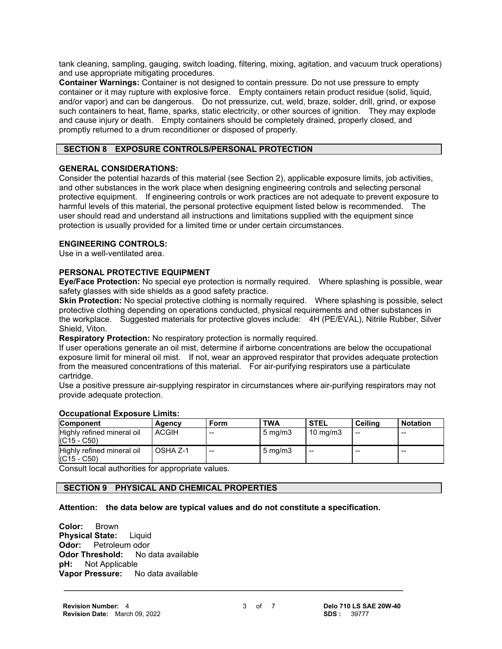tank cleaning, sampling, gauging, switch loading, filtering, mixing, agitation, and vacuum truck operations) and use appropriate mitigating procedures.

**Container Warnings:** Container is not designed to contain pressure. Do not use pressure to empty container or it may rupture with explosive force. Empty containers retain product residue (solid, liquid, and/or vapor) and can be dangerous. Do not pressurize, cut, weld, braze, solder, drill, grind, or expose such containers to heat, flame, sparks, static electricity, or other sources of ignition. They may explode and cause injury or death. Empty containers should be completely drained, properly closed, and promptly returned to a drum reconditioner or disposed of properly.

## **SECTION 8 EXPOSURE CONTROLS/PERSONAL PROTECTION**

#### **GENERAL CONSIDERATIONS:**

Consider the potential hazards of this material (see Section 2), applicable exposure limits, job activities, and other substances in the work place when designing engineering controls and selecting personal protective equipment. If engineering controls or work practices are not adequate to prevent exposure to harmful levels of this material, the personal protective equipment listed below is recommended. The user should read and understand all instructions and limitations supplied with the equipment since protection is usually provided for a limited time or under certain circumstances.

#### **ENGINEERING CONTROLS:**

Use in a well-ventilated area.

#### **PERSONAL PROTECTIVE EQUIPMENT**

**Eye/Face Protection:** No special eye protection is normally required. Where splashing is possible, wear safety glasses with side shields as a good safety practice.

**Skin Protection:** No special protective clothing is normally required. Where splashing is possible, select protective clothing depending on operations conducted, physical requirements and other substances in the workplace. Suggested materials for protective gloves include: 4H (PE/EVAL), Nitrile Rubber, Silver Shield, Viton.

**Respiratory Protection:** No respiratory protection is normally required.

If user operations generate an oil mist, determine if airborne concentrations are below the occupational exposure limit for mineral oil mist. If not, wear an approved respirator that provides adequate protection from the measured concentrations of this material. For air-purifying respirators use a particulate cartridge.

Use a positive pressure air-supplying respirator in circumstances where air-purifying respirators may not provide adequate protection.

| <b>Component</b>                            | Agency       | Form  | <b>TWA</b>         | <b>STEL</b>       | <b>Ceiling</b> | <b>Notation</b> |
|---------------------------------------------|--------------|-------|--------------------|-------------------|----------------|-----------------|
| Highly refined mineral oil<br>$(C15 - C50)$ | <b>ACGIH</b> | $- -$ | $5 \text{ ma/m}$ 3 | $10 \text{ mg/m}$ | $-$            | $-$             |
| Highly refined mineral oil<br>$(C15 - C50)$ | OSHA Z-1     | $- -$ | $5 \text{ mg/m}$   | $- -$             | $-$            | --              |

#### **Occupational Exposure Limits:**

Consult local authorities for appropriate values.

## **SECTION 9 PHYSICAL AND CHEMICAL PROPERTIES**

#### **Attention: the data below are typical values and do not constitute a specification.**

 **\_\_\_\_\_\_\_\_\_\_\_\_\_\_\_\_\_\_\_\_\_\_\_\_\_\_\_\_\_\_\_\_\_\_\_\_\_\_\_\_\_\_\_\_\_\_\_\_\_\_\_\_\_\_\_\_\_\_\_\_\_\_\_\_\_\_\_\_\_**

**Color:** Brown **Physical State:** Liquid **Odor:** Petroleum odor<br>**Odor Threshold:** No data available **Odor Threshold:**<br>**pH:** Not Applical **Not Applicable Vapor Pressure:** No data available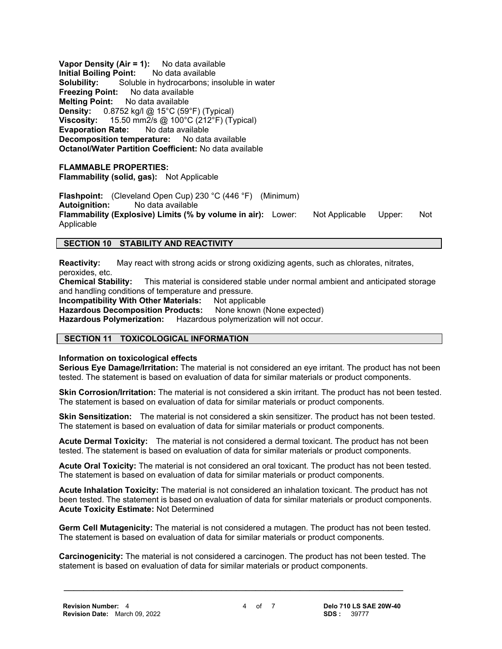**Vapor Density (Air = 1):** No data available **Initial Boiling Point:** No data available **Solubility:** Soluble in hydrocarbons; insoluble in water **Freezing Point:** No data available **Melting Point:** No data available **Density:** 0.8752 kg/l @ 15°C (59°F) (Typical) **Viscosity:** 15.50 mm2/s @ 100°C (212°F) (Typical) **Evaporation Rate:** No data available **Decomposition temperature:** No data available **Octanol/Water Partition Coefficient:** No data available

#### **FLAMMABLE PROPERTIES:**

**Flammability (solid, gas):** Not Applicable

**Flashpoint:** (Cleveland Open Cup) 230 °C (446 °F) (Minimum) **Autoignition:** No data available **Flammability (Explosive) Limits (% by volume in air):** Lower: Not Applicable Upper: Not Applicable

#### **SECTION 10 STABILITY AND REACTIVITY**

**Reactivity:** May react with strong acids or strong oxidizing agents, such as chlorates, nitrates, peroxides, etc.<br>Chemical Stability:

This material is considered stable under normal ambient and anticipated storage and handling conditions of temperature and pressure.

**Incompatibility With Other Materials:** Not applicable<br>**Hazardous Decomposition Products:** None known (None expected) **Hazardous Decomposition Products:** 

**Hazardous Polymerization:** Hazardous polymerization will not occur.

#### **SECTION 11 TOXICOLOGICAL INFORMATION**

**Information on toxicological effects**

**Serious Eye Damage/Irritation:** The material is not considered an eye irritant. The product has not been tested. The statement is based on evaluation of data for similar materials or product components.

**Skin Corrosion/Irritation:** The material is not considered a skin irritant. The product has not been tested. The statement is based on evaluation of data for similar materials or product components.

**Skin Sensitization:** The material is not considered a skin sensitizer. The product has not been tested. The statement is based on evaluation of data for similar materials or product components.

**Acute Dermal Toxicity:** The material is not considered a dermal toxicant. The product has not been tested. The statement is based on evaluation of data for similar materials or product components.

**Acute Oral Toxicity:** The material is not considered an oral toxicant. The product has not been tested. The statement is based on evaluation of data for similar materials or product components.

**Acute Inhalation Toxicity:** The material is not considered an inhalation toxicant. The product has not been tested. The statement is based on evaluation of data for similar materials or product components. **Acute Toxicity Estimate:** Not Determined

**Germ Cell Mutagenicity:** The material is not considered a mutagen. The product has not been tested. The statement is based on evaluation of data for similar materials or product components.

**Carcinogenicity:** The material is not considered a carcinogen. The product has not been tested. The statement is based on evaluation of data for similar materials or product components.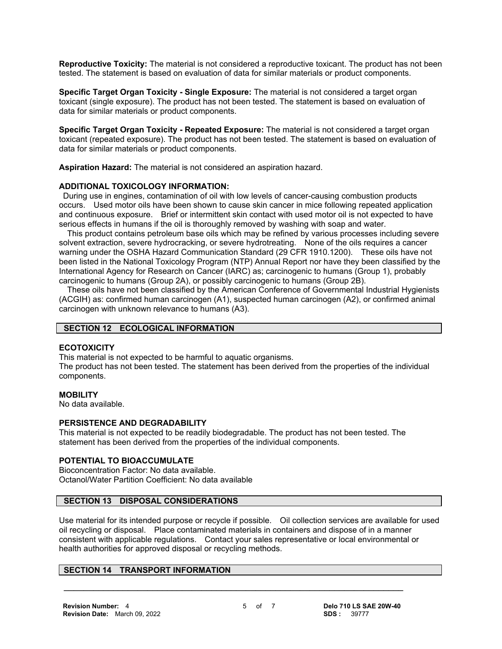**Reproductive Toxicity:** The material is not considered a reproductive toxicant. The product has not been tested. The statement is based on evaluation of data for similar materials or product components.

**Specific Target Organ Toxicity - Single Exposure:** The material is not considered a target organ toxicant (single exposure). The product has not been tested. The statement is based on evaluation of data for similar materials or product components.

**Specific Target Organ Toxicity - Repeated Exposure:** The material is not considered a target organ toxicant (repeated exposure). The product has not been tested. The statement is based on evaluation of data for similar materials or product components.

**Aspiration Hazard:** The material is not considered an aspiration hazard.

#### **ADDITIONAL TOXICOLOGY INFORMATION:**

 During use in engines, contamination of oil with low levels of cancer-causing combustion products occurs. Used motor oils have been shown to cause skin cancer in mice following repeated application and continuous exposure. Brief or intermittent skin contact with used motor oil is not expected to have serious effects in humans if the oil is thoroughly removed by washing with soap and water.

 This product contains petroleum base oils which may be refined by various processes including severe solvent extraction, severe hydrocracking, or severe hydrotreating. None of the oils requires a cancer warning under the OSHA Hazard Communication Standard (29 CFR 1910.1200). These oils have not been listed in the National Toxicology Program (NTP) Annual Report nor have they been classified by the International Agency for Research on Cancer (IARC) as; carcinogenic to humans (Group 1), probably carcinogenic to humans (Group 2A), or possibly carcinogenic to humans (Group 2B).

 These oils have not been classified by the American Conference of Governmental Industrial Hygienists (ACGIH) as: confirmed human carcinogen (A1), suspected human carcinogen (A2), or confirmed animal carcinogen with unknown relevance to humans (A3).

#### **SECTION 12 ECOLOGICAL INFORMATION**

#### **ECOTOXICITY**

This material is not expected to be harmful to aquatic organisms. The product has not been tested. The statement has been derived from the properties of the individual components.

#### **MOBILITY**

No data available.

#### **PERSISTENCE AND DEGRADABILITY**

This material is not expected to be readily biodegradable. The product has not been tested. The statement has been derived from the properties of the individual components.

#### **POTENTIAL TO BIOACCUMULATE**

Bioconcentration Factor: No data available. Octanol/Water Partition Coefficient: No data available

#### **SECTION 13 DISPOSAL CONSIDERATIONS**

Use material for its intended purpose or recycle if possible. Oil collection services are available for used oil recycling or disposal. Place contaminated materials in containers and dispose of in a manner consistent with applicable regulations. Contact your sales representative or local environmental or health authorities for approved disposal or recycling methods.

 **\_\_\_\_\_\_\_\_\_\_\_\_\_\_\_\_\_\_\_\_\_\_\_\_\_\_\_\_\_\_\_\_\_\_\_\_\_\_\_\_\_\_\_\_\_\_\_\_\_\_\_\_\_\_\_\_\_\_\_\_\_\_\_\_\_\_\_\_\_**

## **SECTION 14 TRANSPORT INFORMATION**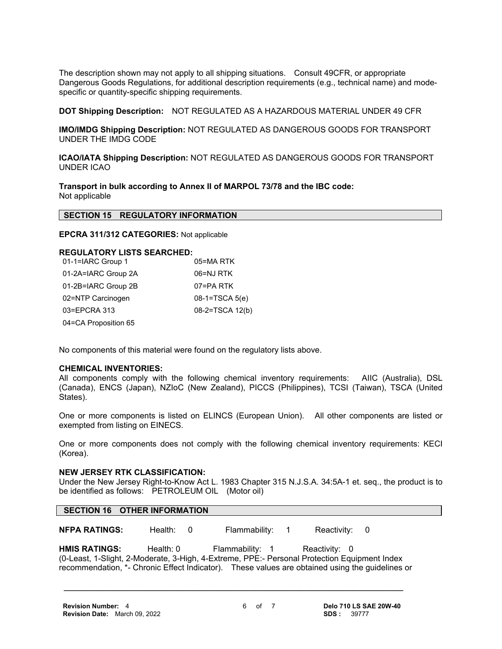The description shown may not apply to all shipping situations. Consult 49CFR, or appropriate Dangerous Goods Regulations, for additional description requirements (e.g., technical name) and modespecific or quantity-specific shipping requirements.

**DOT Shipping Description:** NOT REGULATED AS A HAZARDOUS MATERIAL UNDER 49 CFR

**IMO/IMDG Shipping Description:** NOT REGULATED AS DANGEROUS GOODS FOR TRANSPORT UNDER THE IMDG CODE

**ICAO/IATA Shipping Description:** NOT REGULATED AS DANGEROUS GOODS FOR TRANSPORT UNDER ICAO

**Transport in bulk according to Annex II of MARPOL 73/78 and the IBC code:** Not applicable

#### **SECTION 15 REGULATORY INFORMATION**

**EPCRA 311/312 CATEGORIES:** Not applicable

#### **REGULATORY LISTS SEARCHED:**

| 01-1=IARC Group 1    | 05=MA RTK        |
|----------------------|------------------|
| 01-2A=IARC Group 2A  | 06=NJ RTK        |
| 01-2B=IARC Group 2B  | 07=PA RTK        |
| 02=NTP Carcinogen    | $08-1=TSCA 5(e)$ |
| 03=EPCRA 313         | 08-2=TSCA 12(b)  |
| 04=CA Proposition 65 |                  |

No components of this material were found on the regulatory lists above.

#### **CHEMICAL INVENTORIES:**

All components comply with the following chemical inventory requirements: AIIC (Australia), DSL (Canada), ENCS (Japan), NZIoC (New Zealand), PICCS (Philippines), TCSI (Taiwan), TSCA (United States).

One or more components is listed on ELINCS (European Union). All other components are listed or exempted from listing on EINECS.

One or more components does not comply with the following chemical inventory requirements: KECI (Korea).

#### **NEW JERSEY RTK CLASSIFICATION:**

Under the New Jersey Right-to-Know Act L. 1983 Chapter 315 N.J.S.A. 34:5A-1 et. seq., the product is to be identified as follows: PETROLEUM OIL (Motor oil)

#### **SECTION 16 OTHER INFORMATION**

**NFPA RATINGS:** Health: 0 Flammability: 1 Reactivity: 0

HMIS RATINGS: Health: 0 Flammability: 1 Reactivity: 0 (0-Least, 1-Slight, 2-Moderate, 3-High, 4-Extreme, PPE:- Personal Protection Equipment Index recommendation, \*- Chronic Effect Indicator). These values are obtained using the guidelines or